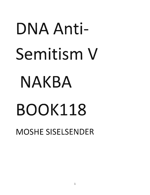## DNA Anti-Semitism V NAKBA BOOKl18 MOSHE SISELSENDER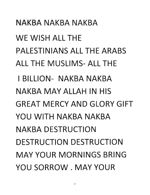NAKBA NAKBA NAKBA WE WISH ALL THE PALESTINIANS ALL THE ARABS ALL THE MUSLIMS- ALL THE I BILLION- NAKBA NAKBA NAKBA MAY ALLAH IN HIS GREAT MERCY AND GLORY GIFT YOU WITH NAKBA NAKBA NAKBA DESTRUCTION DESTRUCTION DESTRUCTION MAY YOUR MORNINGS BRING YOU SORROW. MAY YOUR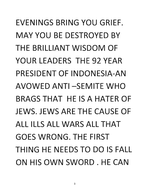EVENINGS BRING YOU GRIEF. MAY YOU BE DESTROYED BY THE BRILLIANT WISDOM OF YOUR LEADERS THE 92 YEAR PRESIDENT OF INDONESIA-AN AVOWED ANTI-SEMITE WHO BRAGS THAT HE IS A HATER OF JEWS. JEWS ARE THE CAUSE OF ALL ILLS ALL WARS ALL THAT GOES WRONG. THE FIRST THING HE NEEDS TO DO IS FALL ON HIS OWN SWORD. HE CAN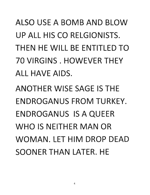ALSO USE A BOMB AND BLOW UP ALL HIS CO RELGIONISTS. THEN HE WILL BE FNTITI FD TO 70 VIRGINS. HOWEVER THEY ALL HAVE AIDS.

ANOTHER WISE SAGE IS THE ENDROGANUS FROM TURKEY. ENDROGANUS IS A QUEER WHO IS NEITHER MAN OR WOMAN. LET HIM DROP DEAD SOONER THAN LATER. HE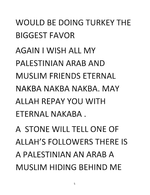## WOULD BE DOING TURKEY THE BIGGEST FAVOR

**AGAIN I WISH ALL MY** PALESTINIAN ARAB AND MUSLIM FRIENDS ETERNAL NAKBA NAKBA NAKBA. MAY ALLAH REPAY YOU WITH ETERNAL NAKABA.

A STONE WILL TELL ONE OF ALLAH'S FOLLOWERS THERE IS A PALESTINIAN AN ARAB A MUSLIM HIDING BEHIND ME